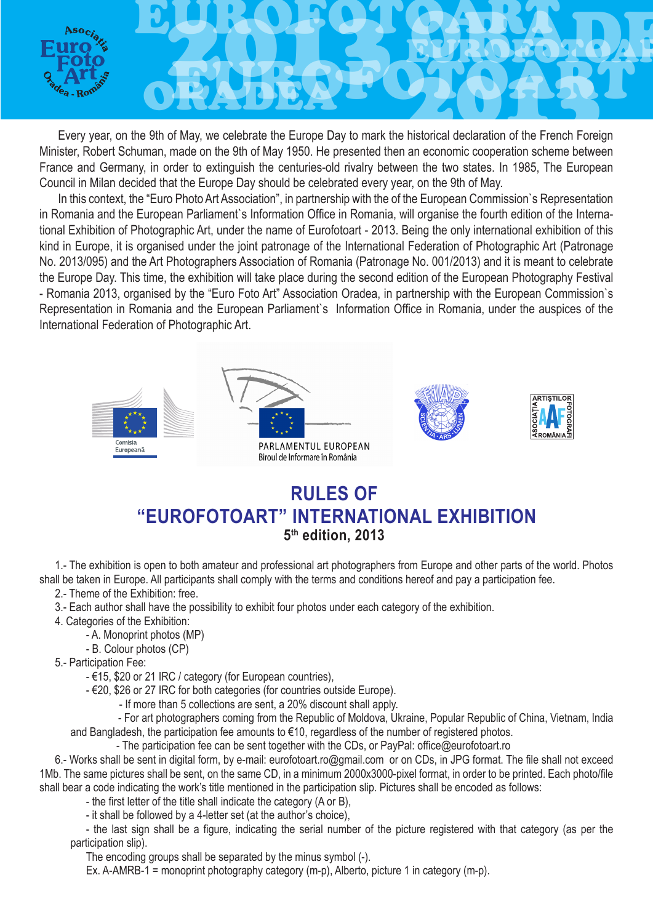

Every year, on the 9th of May, we celebrate the Europe Day to mark the historical declaration of the French Foreign Minister, Robert Schuman, made on the 9th of May 1950. He presented then an economic cooperation scheme between France and Germany, in order to extinguish the centuries-old rivalry between the two states. In 1985, The European Council in Milan decided that the Europe Day should be celebrated every year, on the 9th of May.

In this context, the "Euro Photo Art Association", in partnership with the of the European Commission`s Representation in Romania and the European Parliament`s Information Office in Romania, will organise the fourth edition of the International Exhibition of Photographic Art, under the name of Eurofotoart - 2013. Being the only international exhibition of this kind in Europe, it is organised under the joint patronage of the International Federation of Photographic Art (Patronage No. 2013/095) and the Art Photographers Association of Romania (Patronage No. 001/2013) and it is meant to celebrate the Europe Day. This time, the exhibition will take place during the second edition of the European Photography Festival - Romania 2013, organised by the "Euro Foto Art" Association Oradea, in partnership with the European Commission`s Representation in Romania and the European Parliament`s Information Office in Romania, under the auspices of the International Federation of Photographic Art.



## **RULES OF "EUROFOTOART" INTERNATIONAL EXHIBITION 5th edition, 2013**

1.- The exhibition is open to both amateur and professional art photographers from Europe and other parts of the world. Photos shall be taken in Europe. All participants shall comply with the terms and conditions hereof and pay a participation fee.

2.- Theme of the Exhibition: free.

3.- Each author shall have the possibility to exhibit four photos under each category of the exhibition.

4. Categories of the Exhibition:

- A. Monoprint photos (MP)

- B. Colour photos (CP)

5.- Participation Fee:

- €15, \$20 or 21 IRC / category (for European countries),

- €20, \$26 or 27 IRC for both categories (for countries outside Europe).

- If more than 5 collections are sent, a 20% discount shall apply.

 - For art photographers coming from the Republic of Moldova, Ukraine, Popular Republic of China, Vietnam, India and Bangladesh, the participation fee amounts to €10, regardless of the number of registered photos.

- The participation fee can be sent together with the CDs, or PayPal: office@eurofotoart.ro

6.- Works shall be sent in digital form, by e-mail: eurofotoart.ro@gmail.com or on CDs, in JPG format. The file shall not exceed 1Mb. The same pictures shall be sent, on the same CD, in a minimum 2000x3000-pixel format, in order to be printed. Each photo/file shall bear a code indicating the work's title mentioned in the participation slip. Pictures shall be encoded as follows:

- the first letter of the title shall indicate the category (A or B),

- it shall be followed by a 4-letter set (at the author's choice),

- the last sign shall be a figure, indicating the serial number of the picture registered with that category (as per the participation slip).

The encoding groups shall be separated by the minus symbol (-).

Ex. A-AMRB-1 = monoprint photography category (m-p), Alberto, picture 1 in category (m-p).